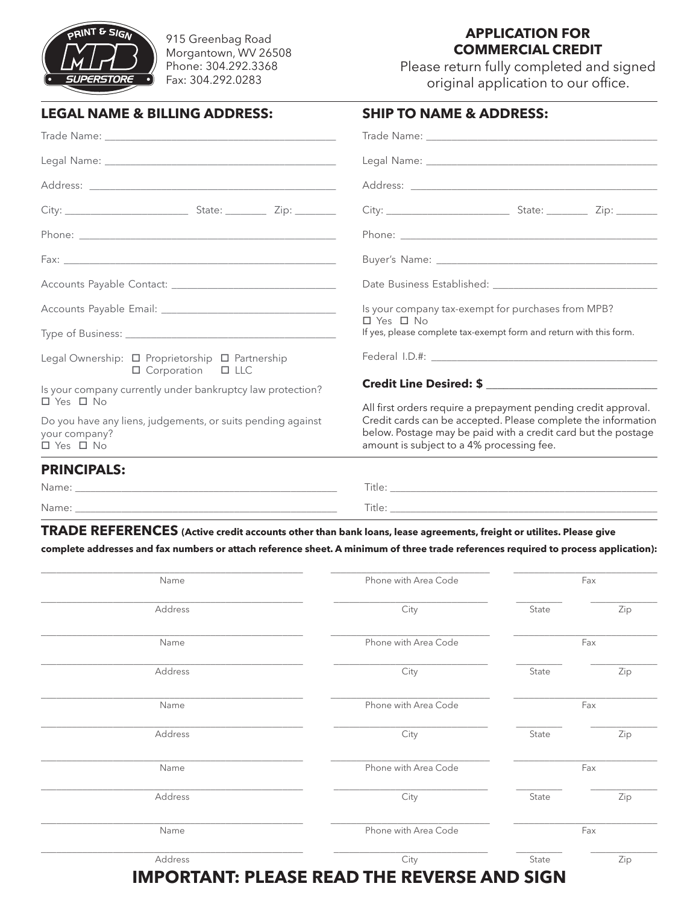

915 Greenbag Road Morgantown, WV 26508 Phone: 304.292.3368 Fax: 304.292.0283

## **APPLICATION FOR COMMERCIAL CREDIT**

Please return fully completed and signed original application to our office.

| <b>LEGAL NAME &amp; BILLING ADDRESS:</b>                                                                        | <b>SHIP TO NAME &amp; ADDRESS:</b>                                                                                                                                                                                                   |
|-----------------------------------------------------------------------------------------------------------------|--------------------------------------------------------------------------------------------------------------------------------------------------------------------------------------------------------------------------------------|
|                                                                                                                 |                                                                                                                                                                                                                                      |
| Legal Name: Name and Second Contract and Second Contract of the Contract of the Contract of the Contract of the |                                                                                                                                                                                                                                      |
| Address:<br><u> 1980 - John Stein, Amerikaansk politiker (* 1908)</u>                                           | Address: <u>with the community of the community of the community of the community of the community of the community of the community of the community of the community of the community of the community of the community of the</u> |

| Is your company tax-exempt for purchases from MPB?                                         |  |  |
|--------------------------------------------------------------------------------------------|--|--|
| $\Box$ Yes $\Box$ No<br>If yes, please complete tax-exempt form and return with this form. |  |  |
| Credit Line Desired: \$                                                                    |  |  |
|                                                                                            |  |  |
|                                                                                            |  |  |

## **PRINCIPALS:**

| ------------- |        |
|---------------|--------|
| Name:         | Title: |
| Name:         | Title: |
|               |        |

**TRADE REFERENCES (Active credit accounts other than bank loans, lease agreements, freight or utilites. Please give complete addresses and fax numbers or attach reference sheet. A minimum of three trade references required to process application):**

| Name    | Phone with Area Code |       | Fax |
|---------|----------------------|-------|-----|
| Address | City                 | State | Zip |
| Name    | Phone with Area Code | Fax   |     |
| Address | City                 | State | Zip |
| Name    | Phone with Area Code | Fax   |     |
| Address | City                 | State | Zip |
| Name    | Phone with Area Code | Fax   |     |
| Address | City                 | State | Zip |
| Name    | Phone with Area Code | Fax   |     |
| Address | City                 | State | Zip |

**IMPORTANT: PLEASE READ THE REVERSE AND SIGN**